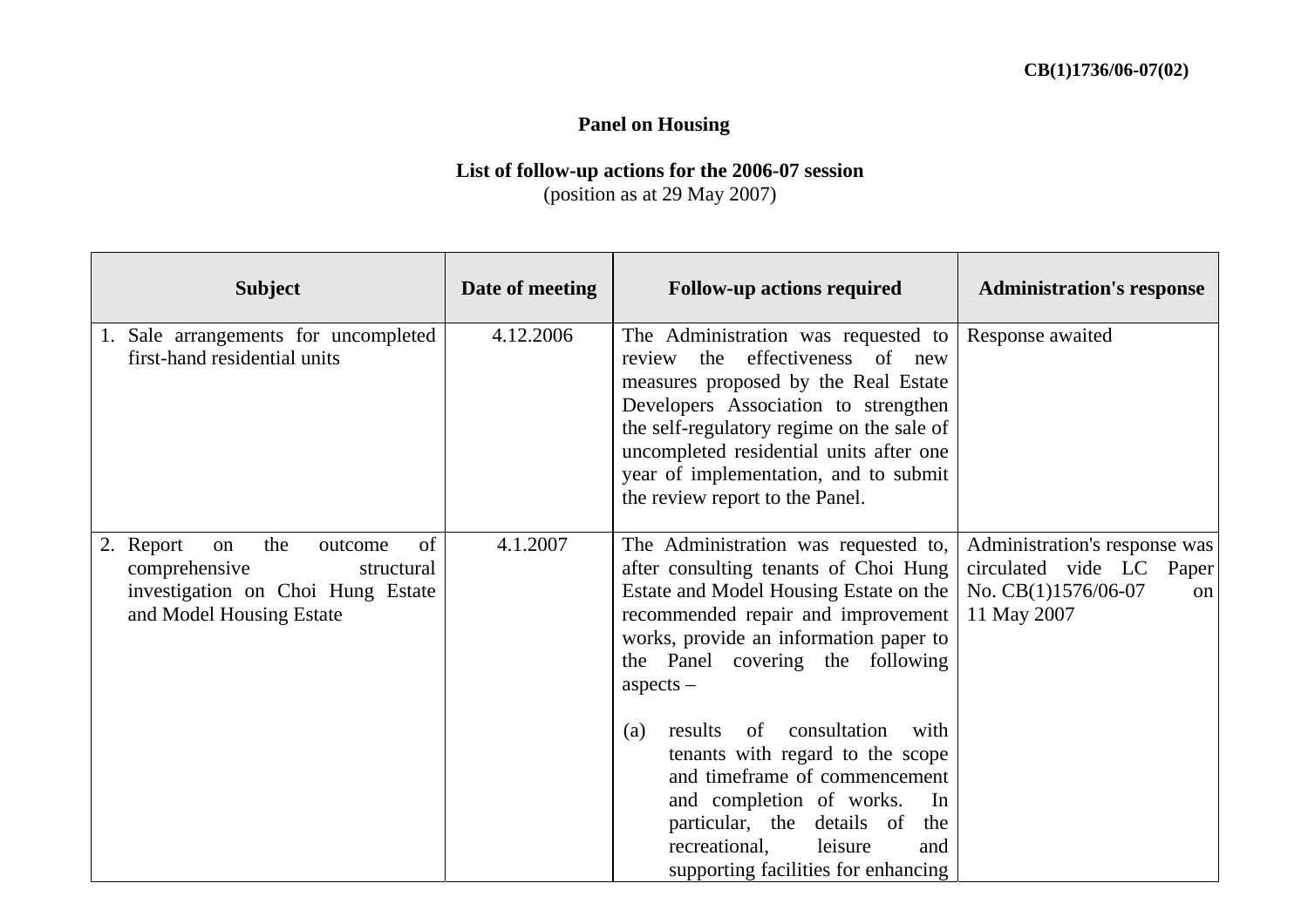## **Panel on Housing**

## **List of follow-up actions for the 2006-07 session**  (position as at 29 May 2007)

| <b>Subject</b>                                                                                                                          | Date of meeting | <b>Follow-up actions required</b>                                                                                                                                                                                                                                                                                             | <b>Administration's response</b>                                                                      |
|-----------------------------------------------------------------------------------------------------------------------------------------|-----------------|-------------------------------------------------------------------------------------------------------------------------------------------------------------------------------------------------------------------------------------------------------------------------------------------------------------------------------|-------------------------------------------------------------------------------------------------------|
| 1. Sale arrangements for uncompleted<br>first-hand residential units                                                                    | 4.12.2006       | The Administration was requested to<br>effectiveness of new<br>review the<br>measures proposed by the Real Estate<br>Developers Association to strengthen<br>the self-regulatory regime on the sale of<br>uncompleted residential units after one<br>year of implementation, and to submit<br>the review report to the Panel. | Response awaited                                                                                      |
| of<br>the<br>2. Report<br>on<br>outcome<br>comprehensive<br>structural<br>investigation on Choi Hung Estate<br>and Model Housing Estate | 4.1.2007        | The Administration was requested to,<br>after consulting tenants of Choi Hung<br>Estate and Model Housing Estate on the<br>recommended repair and improvement<br>works, provide an information paper to<br>the Panel covering the following<br>$a$ spects $-$<br>consultation<br>results<br>of<br>with<br>(a)                 | Administration's response was<br>circulated vide LC Paper<br>No. CB(1)1576/06-07<br>on<br>11 May 2007 |
|                                                                                                                                         |                 | tenants with regard to the scope<br>and timeframe of commencement<br>and completion of works.<br>In<br>particular, the details of<br>the<br>recreational,<br>leisure<br>and<br>supporting facilities for enhancing                                                                                                            |                                                                                                       |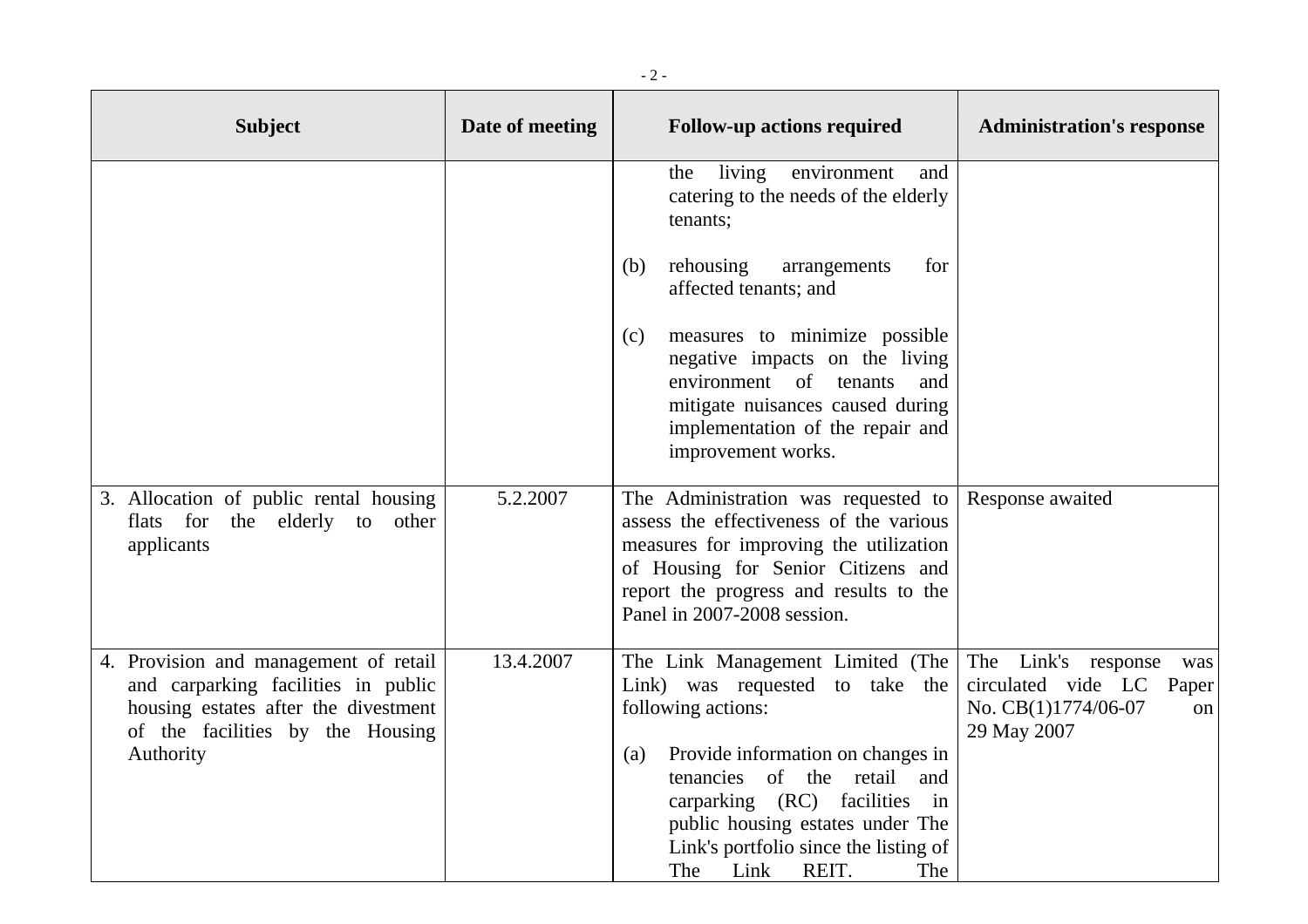| <b>Subject</b>                                                                                                                                                        | Date of meeting | <b>Follow-up actions required</b>                                                                                                                                                                                                                                                                           | <b>Administration's response</b>                                                                      |
|-----------------------------------------------------------------------------------------------------------------------------------------------------------------------|-----------------|-------------------------------------------------------------------------------------------------------------------------------------------------------------------------------------------------------------------------------------------------------------------------------------------------------------|-------------------------------------------------------------------------------------------------------|
|                                                                                                                                                                       |                 | living<br>environment<br>the<br>and<br>catering to the needs of the elderly<br>tenants;                                                                                                                                                                                                                     |                                                                                                       |
|                                                                                                                                                                       |                 | rehousing<br>arrangements<br>for<br>(b)<br>affected tenants; and                                                                                                                                                                                                                                            |                                                                                                       |
|                                                                                                                                                                       |                 | measures to minimize possible<br>(c)<br>negative impacts on the living<br>environment of tenants<br>and<br>mitigate nuisances caused during<br>implementation of the repair and<br>improvement works.                                                                                                       |                                                                                                       |
| 3. Allocation of public rental housing<br>flats for the elderly to other<br>applicants                                                                                | 5.2.2007        | The Administration was requested to<br>assess the effectiveness of the various<br>measures for improving the utilization<br>of Housing for Senior Citizens and<br>report the progress and results to the<br>Panel in 2007-2008 session.                                                                     | Response awaited                                                                                      |
| 4. Provision and management of retail<br>and carparking facilities in public<br>housing estates after the divestment<br>of the facilities by the Housing<br>Authority | 13.4.2007       | The Link Management Limited (The<br>Link) was requested to take the<br>following actions:<br>Provide information on changes in<br>(a)<br>tenancies of the retail and<br>carparking (RC) facilities in<br>public housing estates under The<br>Link's portfolio since the listing of<br>The Link REIT.<br>The | The Link's response<br>was<br>circulated vide LC<br>Paper<br>No. CB(1)1774/06-07<br>on<br>29 May 2007 |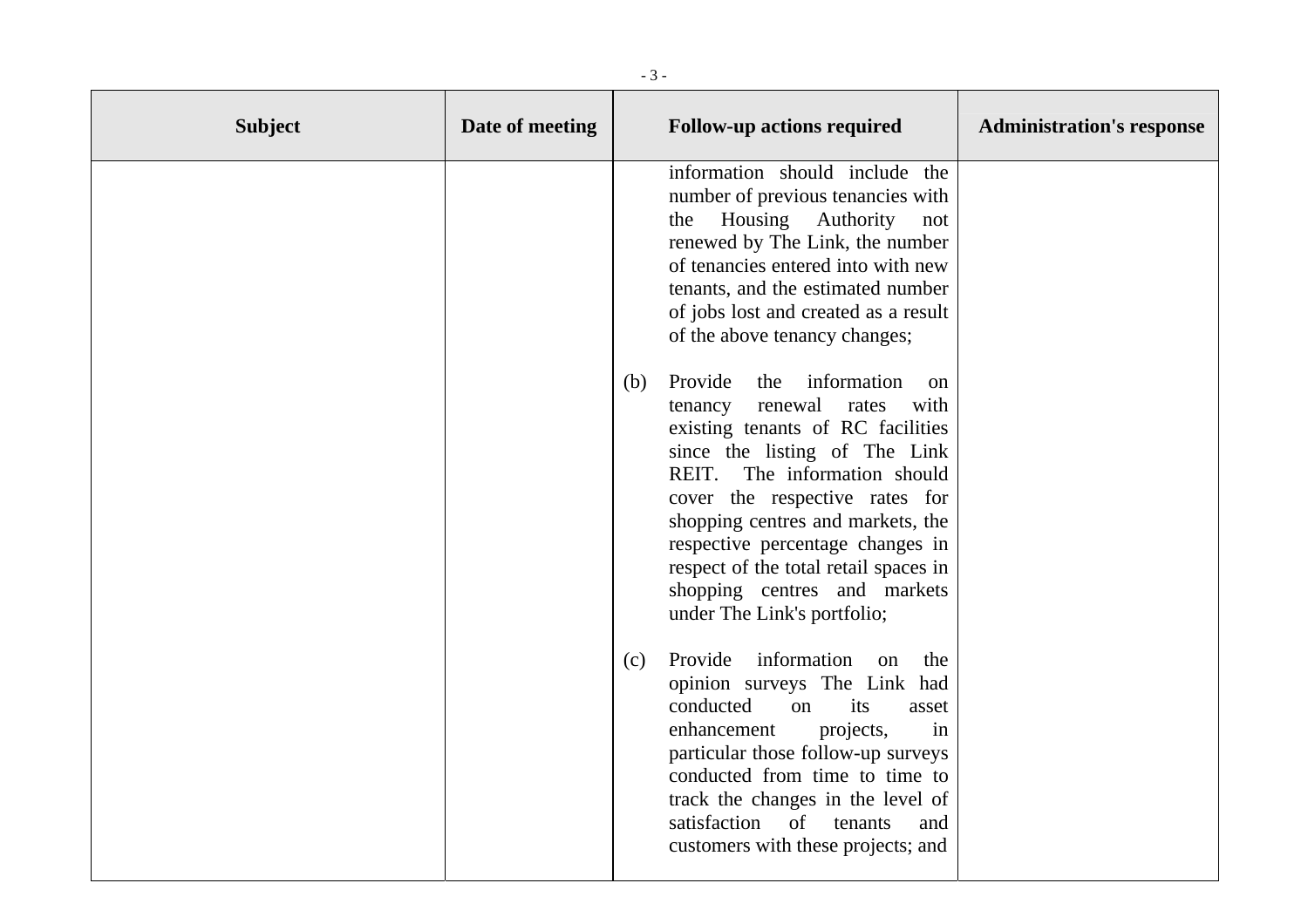| <b>Subject</b> | Date of meeting | <b>Follow-up actions required</b>                                                                                                                                                                                                                                                                                                                                                                                                                                                                                                                                                                                                                                                                              | <b>Administration's response</b> |
|----------------|-----------------|----------------------------------------------------------------------------------------------------------------------------------------------------------------------------------------------------------------------------------------------------------------------------------------------------------------------------------------------------------------------------------------------------------------------------------------------------------------------------------------------------------------------------------------------------------------------------------------------------------------------------------------------------------------------------------------------------------------|----------------------------------|
|                |                 | information should include the<br>number of previous tenancies with<br>Housing Authority<br>the<br>not<br>renewed by The Link, the number<br>of tenancies entered into with new<br>tenants, and the estimated number<br>of jobs lost and created as a result<br>of the above tenancy changes;<br>Provide<br>information<br>the<br>(b)<br>on<br>renewal<br>with<br>rates<br>tenancy<br>existing tenants of RC facilities<br>since the listing of The Link<br>REIT.<br>The information should<br>cover the respective rates for<br>shopping centres and markets, the<br>respective percentage changes in<br>respect of the total retail spaces in<br>shopping centres and markets<br>under The Link's portfolio; |                                  |
|                |                 | information<br>Provide<br>the<br>(c)<br>on<br>opinion surveys The Link had<br>conducted<br>its<br><sub>on</sub><br>asset<br>enhancement<br>projects,<br>in<br>particular those follow-up surveys<br>conducted from time to time to<br>track the changes in the level of<br>satisfaction<br>$\sigma$<br>tenants<br>and<br>customers with these projects; and                                                                                                                                                                                                                                                                                                                                                    |                                  |